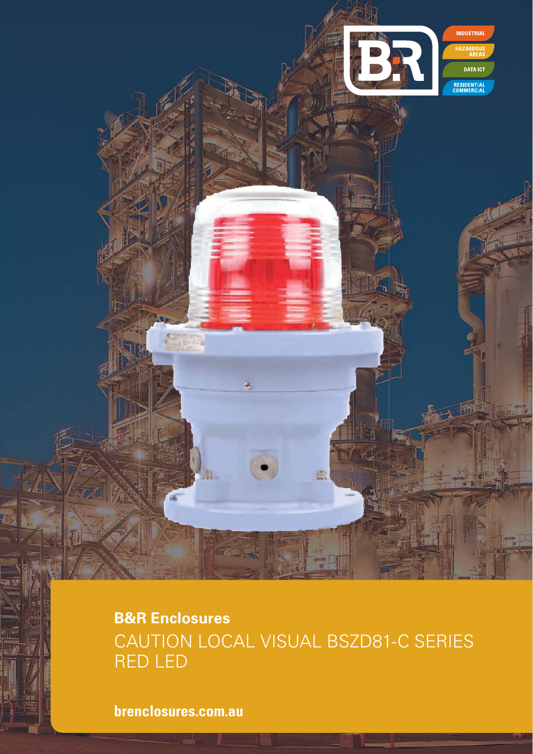**B&R Enclosures** CAUTION LOCAL VISUAL BSZD81-C SERIES RED LED

**INDUSTRIAL** 

**DATA ICT** 

RESIDENTIAL<br>COMMERCIAL

**brenclosures.com.au**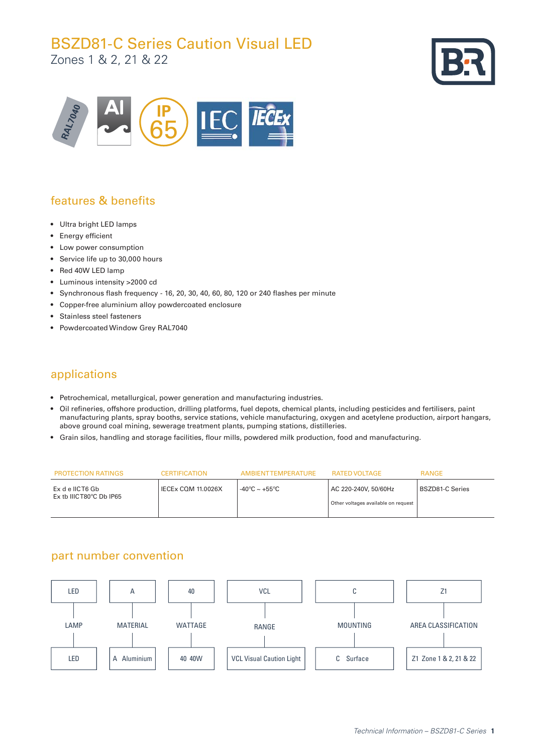# BSZD81-C Series Caution Visual LED

Zones 1 & 2, 21 & 22





## features & benefits

- Ultra bright LED lamps
- Energy efficient
- Low power consumption
- Service life up to 30,000 hours
- Red 40W LED lamp
- Luminous intensity >2000 cd
- Synchronous flash frequency 16, 20, 30, 40, 60, 80, 120 or 240 flashes per minute
- Copper-free aluminium alloy powdercoated enclosure
- Stainless steel fasteners
- Powdercoated Window Grey RAL7040

### applications

- Petrochemical, metallurgical, power generation and manufacturing industries.
- Oil refineries, offshore production, drilling platforms, fuel depots, chemical plants, including pesticides and fertilisers, paint manufacturing plants, spray booths, service stations, vehicle manufacturing, oxygen and acetylene production, airport hangars, above ground coal mining, sewerage treatment plants, pumping stations, distilleries.
- Grain silos, handling and storage facilities, flour mills, powdered milk production, food and manufacturing.

| <b>PROTECTION RATINGS</b>                               | <b>CERTIFICATION</b>      | AMBIENTTEMPERATURE | RATED VOLTAGE                                               | <b>RANGE</b>    |
|---------------------------------------------------------|---------------------------|--------------------|-------------------------------------------------------------|-----------------|
| Ex d e IICT6 Gb<br>$Ex$ tb IIICT80 $^{\circ}$ C Db IP65 | <b>IECEx CQM 11.0026X</b> | -40°C $\sim$ +55°C | AC 220-240V, 50/60Hz<br>Other voltages available on request | BSZD81-C Series |

### part number convention

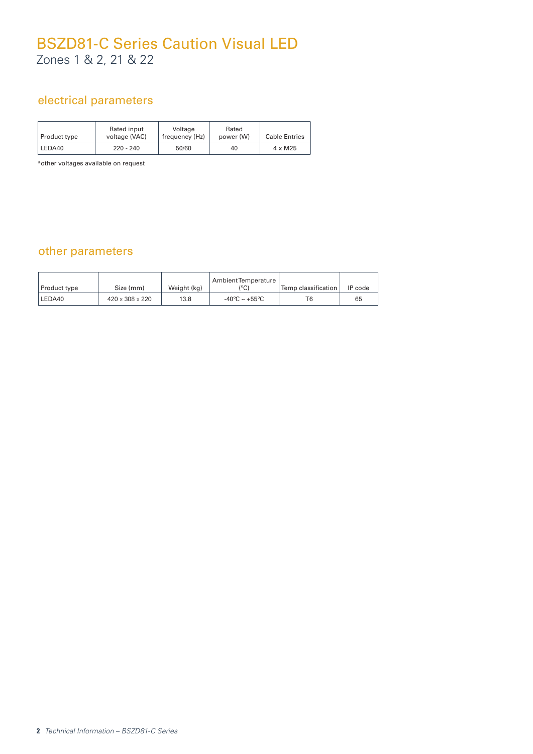# BSZD81-C Series Caution Visual LED Zones 1 & 2, 21 & 22

### electrical parameters

| Product type | Rated input<br>voltage (VAC) | Voltage<br>frequency (Hz) | Rated<br>power (W) | <b>Cable Entries</b> |
|--------------|------------------------------|---------------------------|--------------------|----------------------|
| LEDA40       | 220 - 240                    | 50/60                     | 40                 | $4 \times M25$       |

\*other voltages available on request

### other parameters

| Product type | Size (mm)                   | Weight (kg) | Ambient Temperature<br>(°C)       | Temp classification | IP code |
|--------------|-----------------------------|-------------|-----------------------------------|---------------------|---------|
| LEDA40       | $420 \times 308 \times 220$ | 13.8        | $-40^{\circ}$ C ~ $+55^{\circ}$ C | T6                  | 65      |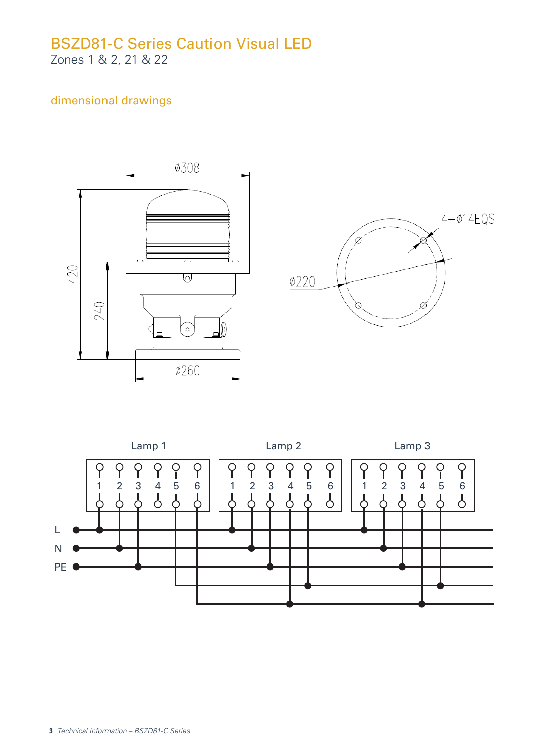# BSZD81-C Series Caution Visual LED Zones 1 & 2, 21 & 22

### dimensional drawings